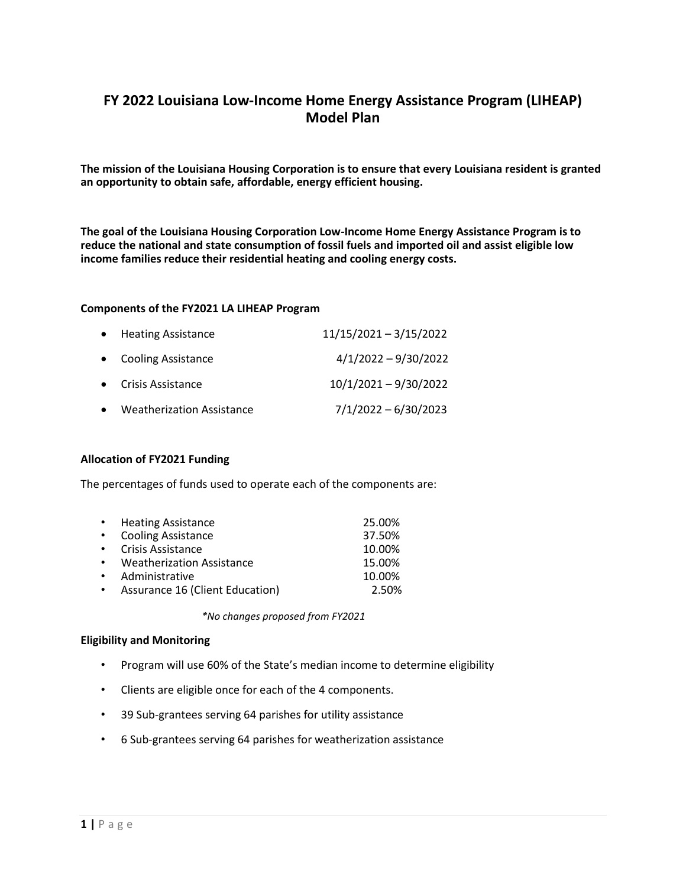# **FY 2022 Louisiana Low-Income Home Energy Assistance Program (LIHEAP) Model Plan**

**The mission of the Louisiana Housing Corporation is to ensure that every Louisiana resident is granted an opportunity to obtain safe, affordable, energy efficient housing.**

**The goal of the Louisiana Housing Corporation Low-Income Home Energy Assistance Program is to reduce the national and state consumption of fossil fuels and imported oil and assist eligible low income families reduce their residential heating and cooling energy costs.**

#### **Components of the FY2021 LA LIHEAP Program**

| • Heating Assistance                          | $11/15/2021 - 3/15/2022$ |
|-----------------------------------------------|--------------------------|
| • Cooling Assistance                          | $4/1/2022 - 9/30/2022$   |
| • Crisis Assistance                           | $10/1/2021 - 9/30/2022$  |
| <b>Weatherization Assistance</b><br>$\bullet$ | $7/1/2022 - 6/30/2023$   |

#### **Allocation of FY2021 Funding**

The percentages of funds used to operate each of the components are:

|             | • Heating Assistance            | 25.00% |
|-------------|---------------------------------|--------|
| $\bullet$ . | <b>Cooling Assistance</b>       | 37.50% |
|             | • Crisis Assistance             | 10.00% |
|             | • Weatherization Assistance     | 15.00% |
| $\bullet$   | Administrative                  | 10.00% |
| $\bullet$   | Assurance 16 (Client Education) | 2.50%  |

*\*No changes proposed from FY2021*

#### **Eligibility and Monitoring**

- Program will use 60% of the State's median income to determine eligibility
- Clients are eligible once for each of the 4 components.
- 39 Sub-grantees serving 64 parishes for utility assistance
- 6 Sub-grantees serving 64 parishes for weatherization assistance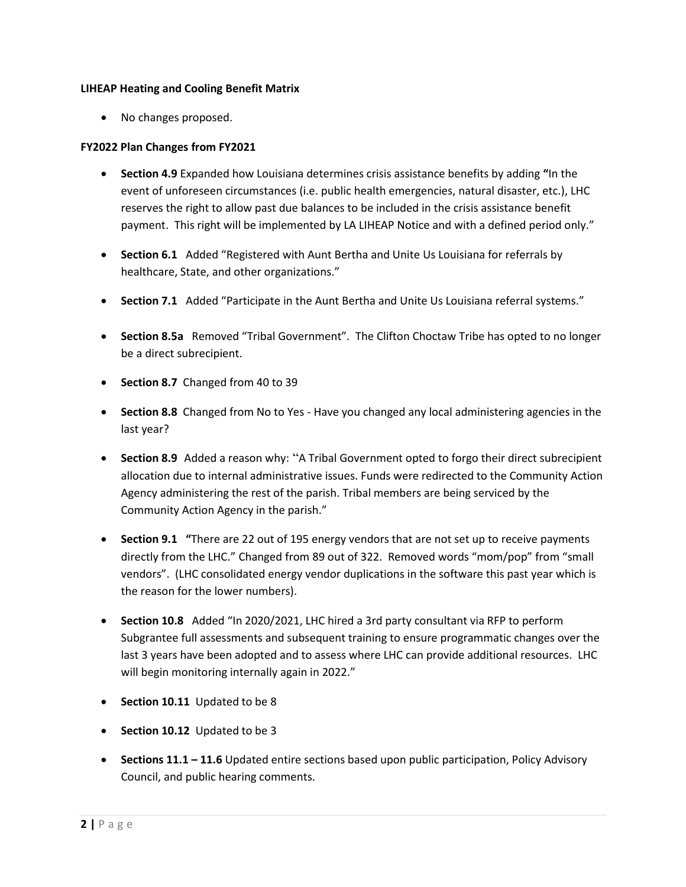## **LIHEAP Heating and Cooling Benefit Matrix**

• No changes proposed.

## **FY2022 Plan Changes from FY2021**

- **Section 4.9** Expanded how Louisiana determines crisis assistance benefits by adding **"**In the event of unforeseen circumstances (i.e. public health emergencies, natural disaster, etc.), LHC reserves the right to allow past due balances to be included in the crisis assistance benefit payment. This right will be implemented by LA LIHEAP Notice and with a defined period only."
- **Section 6.1** Added "Registered with Aunt Bertha and Unite Us Louisiana for referrals by healthcare, State, and other organizations."
- **Section 7.1** Added "Participate in the Aunt Bertha and Unite Us Louisiana referral systems."
- **Section 8.5a** Removed "Tribal Government". The Clifton Choctaw Tribe has opted to no longer be a direct subrecipient.
- **Section 8.7** Changed from 40 to 39
- **Section 8.8** Changed from No to Yes Have you changed any local administering agencies in the last year?
- **Section 8.9** Added a reason why: "A Tribal Government opted to forgo their direct subrecipient allocation due to internal administrative issues. Funds were redirected to the Community Action Agency administering the rest of the parish. Tribal members are being serviced by the Community Action Agency in the parish."
- **Section 9.1 "**There are 22 out of 195 energy vendors that are not set up to receive payments directly from the LHC." Changed from 89 out of 322. Removed words "mom/pop" from "small vendors". (LHC consolidated energy vendor duplications in the software this past year which is the reason for the lower numbers).
- **Section 10.8** Added "In 2020/2021, LHC hired a 3rd party consultant via RFP to perform Subgrantee full assessments and subsequent training to ensure programmatic changes over the last 3 years have been adopted and to assess where LHC can provide additional resources. LHC will begin monitoring internally again in 2022."
- **Section 10.11** Updated to be 8
- **Section 10.12** Updated to be 3
- **Sections 11.1 – 11.6** Updated entire sections based upon public participation, Policy Advisory Council, and public hearing comments.